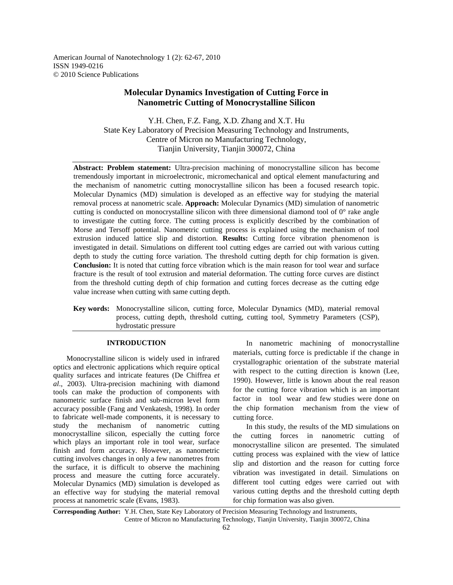American Journal of Nanotechnology 1 (2): 62-67, 2010 ISSN 1949-0216 © 2010 Science Publications

# **Molecular Dynamics Investigation of Cutting Force in Nanometric Cutting of Monocrystalline Silicon**

Y.H. Chen, F.Z. Fang, X.D. Zhang and X.T. Hu State Key Laboratory of Precision Measuring Technology and Instruments, Centre of Micron no Manufacturing Technology, Tianjin University, Tianjin 300072, China

**Abstract: Problem statement:** Ultra-precision machining of monocrystalline silicon has become tremendously important in microelectronic, micromechanical and optical element manufacturing and the mechanism of nanometric cutting monocrystalline silicon has been a focused research topic. Molecular Dynamics (MD) simulation is developed as an effective way for studying the material removal process at nanometric scale. **Approach:** Molecular Dynamics (MD) simulation of nanometric cutting is conducted on monocrystalline silicon with three dimensional diamond tool of  $0^{\circ}$  rake angle to investigate the cutting force. The cutting process is explicitly described by the combination of Morse and Tersoff potential. Nanometric cutting process is explained using the mechanism of tool extrusion induced lattice slip and distortion. **Results:** Cutting force vibration phenomenon is investigated in detail. Simulations on different tool cutting edges are carried out with various cutting depth to study the cutting force variation. The threshold cutting depth for chip formation is given. **Conclusion:** It is noted that cutting force vibration which is the main reason for tool wear and surface fracture is the result of tool extrusion and material deformation. The cutting force curves are distinct from the threshold cutting depth of chip formation and cutting forces decrease as the cutting edge value increase when cutting with same cutting depth.

**Key words:** Monocrystalline silicon, cutting force, Molecular Dynamics (MD), material removal process, cutting depth, threshold cutting, cutting tool, Symmetry Parameters (CSP), hydrostatic pressure

## **INTRODUCTION**

 Monocrystalline silicon is widely used in infrared optics and electronic applications which require optical quality surfaces and intricate features (De Chiffrea *et al*., 2003). Ultra-precision machining with diamond tools can make the production of components with nanometric surface finish and sub-micron level form accuracy possible (Fang and Venkatesh, 1998). In order to fabricate well-made components, it is necessary to study the mechanism of nanometric cutting monocrystalline silicon, especially the cutting force which plays an important role in tool wear, surface finish and form accuracy. However, as nanometric cutting involves changes in only a few nanometres from the surface, it is difficult to observe the machining process and measure the cutting force accurately. Molecular Dynamics (MD) simulation is developed as an effective way for studying the material removal process at nanometric scale (Evans, 1983).

 In nanometric machining of monocrystalline materials, cutting force is predictable if the change in crystallographic orientation of the substrate material with respect to the cutting direction is known (Lee, 1990). However, little is known about the real reason for the cutting force vibration which is an important factor in tool wear and few studies were done on the chip formation mechanism from the view of cutting force.

 In this study, the results of the MD simulations on the cutting forces in nanometric cutting of monocrystalline silicon are presented. The simulated cutting process was explained with the view of lattice slip and distortion and the reason for cutting force vibration was investigated in detail. Simulations on different tool cutting edges were carried out with various cutting depths and the threshold cutting depth for chip formation was also given.

**Corresponding Author:** Y.H. Chen, State Key Laboratory of Precision Measuring Technology and Instruments, Centre of Micron no Manufacturing Technology, Tianjin University, Tianjin 300072, China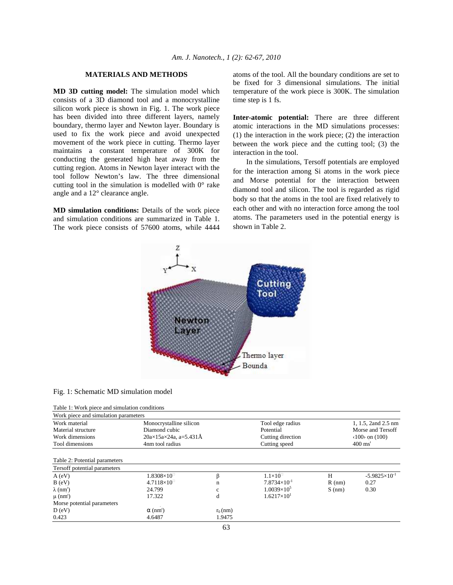# **MATERIALS AND METHODS**

**MD 3D cutting model:** The simulation model which consists of a 3D diamond tool and a monocrystalline silicon work piece is shown in Fig. 1. The work piece has been divided into three different layers, namely boundary, thermo layer and Newton layer. Boundary is used to fix the work piece and avoid unexpected movement of the work piece in cutting. Thermo layer maintains a constant temperature of 300K for conducting the generated high heat away from the cutting region. Atoms in Newton layer interact with the tool follow Newton's law. The three dimensional cutting tool in the simulation is modelled with  $0^{\circ}$  rake angle and a 12° clearance angle.

**MD simulation conditions:** Details of the work piece and simulation conditions are summarized in Table 1. The work piece consists of 57600 atoms, while 4444 atoms of the tool. All the boundary conditions are set to be fixed for 3 dimensional simulations. The initial temperature of the work piece is 300K. The simulation time step is 1 fs.

**Inter-atomic potential:** There are three different atomic interactions in the MD simulations processes: (1) the interaction in the work piece; (2) the interaction between the work piece and the cutting tool; (3) the interaction in the tool.

 In the simulations, Tersoff potentials are employed for the interaction among Si atoms in the work piece and Morse potential for the interaction between diamond tool and silicon. The tool is regarded as rigid body so that the atoms in the tool are fixed relatively to each other and with no interaction force among the tool atoms. The parameters used in the potential energy is shown in Table 2.



#### Fig. 1: Schematic MD simulation model

|  |  | Table 1: Work piece and cimulation conditions |  |
|--|--|-----------------------------------------------|--|

| Table 1. WOLK piece and simulation conditions |                                        |            |                       |          |                          |  |  |  |  |  |  |
|-----------------------------------------------|----------------------------------------|------------|-----------------------|----------|--------------------------|--|--|--|--|--|--|
| Work piece and simulation parameters          |                                        |            |                       |          |                          |  |  |  |  |  |  |
| Work material                                 | Monocrystalline silicon                |            | Tool edge radius      |          | 1, 1.5, 2and 2.5 nm      |  |  |  |  |  |  |
| Material structure                            | Diamond cubic                          |            | Potential             |          | Morse and Tersoff        |  |  |  |  |  |  |
| Work dimensions                               | $20a \times 15a \times 24a$ , a=5.431Å |            | Cutting direction     |          | $(100)$ on $(100)$       |  |  |  |  |  |  |
| Tool dimensions                               | 4nm tool radius                        |            | Cutting speed         |          | $400 \text{ ms}^1$       |  |  |  |  |  |  |
| Table 2: Potential parameters                 |                                        |            |                       |          |                          |  |  |  |  |  |  |
| Tersoff potential parameters                  |                                        |            |                       |          |                          |  |  |  |  |  |  |
| A (eV)                                        | $1.8308\times10^{11}$                  |            | $1.1\times10^{-7}$    | H        | $-5.9825 \times 10^{-1}$ |  |  |  |  |  |  |
| $B$ (eV)                                      | $4.7118\times10^{1}$                   | n          | $7.8734\times10^{-1}$ | $R$ (nm) | 0.27                     |  |  |  |  |  |  |
| $\lambda$ (nm <sup>1</sup> )                  | 24.799                                 | c          | $1.0039\times10^{5}$  | $S$ (nm) | 0.30                     |  |  |  |  |  |  |
| $\mu$ (nm <sup>1</sup> )                      | 17.322                                 | d          | $1.6217\times10^{1}$  |          |                          |  |  |  |  |  |  |
| Morse potential parameters                    |                                        |            |                       |          |                          |  |  |  |  |  |  |
| D (eV)                                        | $\alpha$ (nm <sup>1</sup> )            | $r_0$ (nm) |                       |          |                          |  |  |  |  |  |  |
| 0.423                                         | 4.6487                                 | 1.9475     |                       |          |                          |  |  |  |  |  |  |
|                                               |                                        |            |                       |          |                          |  |  |  |  |  |  |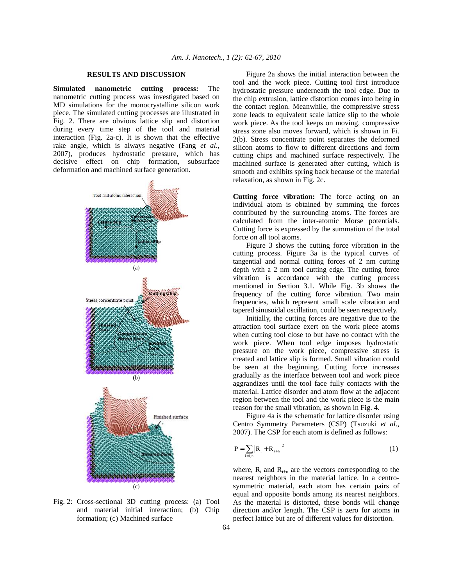#### **RESULTS AND DISCUSSION**

**Simulated nanometric cutting process:** The nanometric cutting process was investigated based on MD simulations for the monocrystalline silicon work piece. The simulated cutting processes are illustrated in Fig. 2. There are obvious lattice slip and distortion during every time step of the tool and material interaction (Fig. 2a-c). It is shown that the effective rake angle, which is always negative (Fang *et al*., 2007), produces hydrostatic pressure, which has decisive effect on chip formation, subsurface deformation and machined surface generation.



Fig. 2: Cross-sectional 3D cutting process: (a) Tool and material initial interaction; (b) Chip formation; (c) Machined surface

 Figure 2a shows the initial interaction between the tool and the work piece. Cutting tool first introduce hydrostatic pressure underneath the tool edge. Due to the chip extrusion, lattice distortion comes into being in the contact region. Meanwhile, the compressive stress zone leads to equivalent scale lattice slip to the whole work piece. As the tool keeps on moving, compressive stress zone also moves forward, which is shown in Fi. 2(b). Stress concentrate point separates the deformed silicon atoms to flow to different directions and form cutting chips and machined surface respectively. The machined surface is generated after cutting, which is smooth and exhibits spring back because of the material relaxation, as shown in Fig. 2c.

**Cutting force vibration:** The force acting on an individual atom is obtained by summing the forces contributed by the surrounding atoms. The forces are calculated from the inter-atomic Morse potentials. Cutting force is expressed by the summation of the total force on all tool atoms.

 Figure 3 shows the cutting force vibration in the cutting process. Figure 3a is the typical curves of tangential and normal cutting forces of 2 nm cutting depth with a 2 nm tool cutting edge. The cutting force vibration is accordance with the cutting process mentioned in Section 3.1. While Fig. 3b shows the frequency of the cutting force vibration. Two main frequencies, which represent small scale vibration and tapered sinusoidal oscillation, could be seen respectively.

 Initially, the cutting forces are negative due to the attraction tool surface exert on the work piece atoms when cutting tool close to but have no contact with the work piece. When tool edge imposes hydrostatic pressure on the work piece, compressive stress is created and lattice slip is formed. Small vibration could be seen at the beginning. Cutting force increases gradually as the interface between tool and work piece aggrandizes until the tool face fully contacts with the material. Lattice disorder and atom flow at the adjacent region between the tool and the work piece is the main reason for the small vibration, as shown in Fig. 4.

 Figure 4a is the schematic for lattice disorder using Centro Symmetry Parameters (CSP) (Tsuzuki *et al*., 2007). The CSP for each atom is defined as follows:

$$
P = \sum_{i=1,n} |R_i + R_{i+n}|^2
$$
 (1)

where,  $R_i$  and  $R_{i+n}$  are the vectors corresponding to the nearest neighbors in the material lattice. In a centrosymmetric material, each atom has certain pairs of equal and opposite bonds among its nearest neighbors. As the material is distorted, these bonds will change direction and/or length. The CSP is zero for atoms in perfect lattice but are of different values for distortion.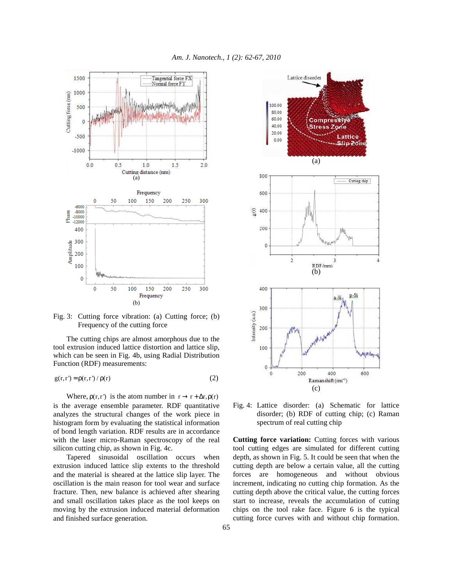

Fig. 3: Cutting force vibration: (a) Cutting force; (b) Frequency of the cutting force

 The cutting chips are almost amorphous due to the tool extrusion induced lattice distortion and lattice slip, which can be seen in Fig. 4b, using Radial Distribution Function (RDF) measurements:

$$
g(r,r') = \rho(r,r') / \rho(r)
$$
 (2)

Where,  $\rho(r,r')$  is the atom number in  $r \rightarrow r + \Delta r, \rho(r)$ is the average ensemble parameter. RDF quantitative analyzes the structural changes of the work piece in histogram form by evaluating the statistical information of bond length variation. RDF results are in accordance with the laser micro-Raman spectroscopy of the real silicon cutting chip, as shown in Fig. 4c.

 Tapered sinusoidal oscillation occurs when extrusion induced lattice slip extents to the threshold and the material is sheared at the lattice slip layer. The oscillation is the main reason for tool wear and surface fracture. Then, new balance is achieved after shearing and small oscillation takes place as the tool keeps on moving by the extrusion induced material deformation and finished surface generation.



Fig. 4: Lattice disorder: (a) Schematic for lattice disorder; (b) RDF of cutting chip; (c) Raman spectrum of real cutting chip

**Cutting force variation:** Cutting forces with various tool cutting edges are simulated for different cutting depth, as shown in Fig. 5. It could be seen that when the cutting depth are below a certain value, all the cutting forces are homogeneous and without obvious increment, indicating no cutting chip formation. As the cutting depth above the critical value, the cutting forces start to increase, reveals the accumulation of cutting chips on the tool rake face. Figure 6 is the typical cutting force curves with and without chip formation.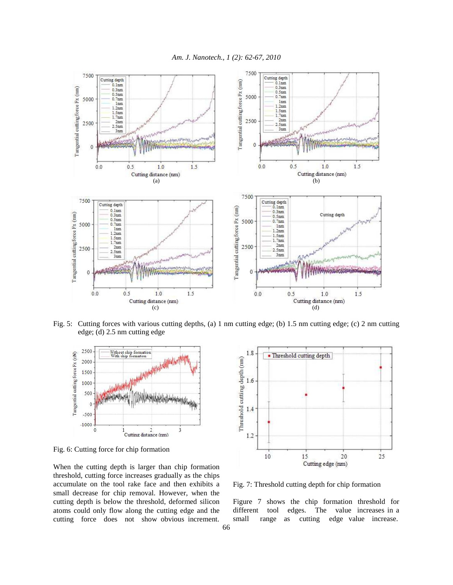

Fig. 5: Cutting forces with various cutting depths, (a) 1 nm cutting edge; (b) 1.5 nm cutting edge; (c) 2 nm cutting edge; (d) 2.5 nm cutting edge



Fig. 6: Cutting force for chip formation

When the cutting depth is larger than chip formation threshold, cutting force increases gradually as the chips accumulate on the tool rake face and then exhibits a small decrease for chip removal. However, when the cutting depth is below the threshold, deformed silicon atoms could only flow along the cutting edge and the cutting force does not show obvious increment.



Fig. 7: Threshold cutting depth for chip formation

Figure 7 shows the chip formation threshold for different tool edges. The value increases in a small range as cutting edge value increase.